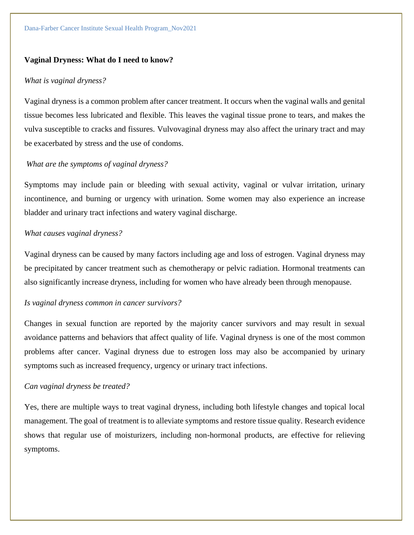#### **Vaginal Dryness: What do I need to know?**

#### *What is vaginal dryness?*

Vaginal dryness is a common problem after cancer treatment. It occurs when the vaginal walls and genital tissue becomes less lubricated and flexible. This leaves the vaginal tissue prone to tears, and makes the vulva susceptible to cracks and fissures. Vulvovaginal dryness may also affect the urinary tract and may be exacerbated by stress and the use of condoms.

#### *What are the symptoms of vaginal dryness?*

Symptoms may include pain or bleeding with sexual activity, vaginal or vulvar irritation, urinary incontinence, and burning or urgency with urination. Some women may also experience an increase bladder and urinary tract infections and watery vaginal discharge.

#### *What causes vaginal dryness?*

Vaginal dryness can be caused by many factors including age and loss of estrogen. Vaginal dryness may be precipitated by cancer treatment such as chemotherapy or pelvic radiation. Hormonal treatments can also significantly increase dryness, including for women who have already been through menopause.

#### *Is vaginal dryness common in cancer survivors?*

Changes in sexual function are reported by the majority cancer survivors and may result in sexual avoidance patterns and behaviors that affect quality of life. Vaginal dryness is one of the most common problems after cancer. Vaginal dryness due to estrogen loss may also be accompanied by urinary symptoms such as increased frequency, urgency or urinary tract infections.

#### *Can vaginal dryness be treated?*

Yes, there are multiple ways to treat vaginal dryness, including both lifestyle changes and topical local management. The goal of treatment is to alleviate symptoms and restore tissue quality. Research evidence shows that regular use of moisturizers, including non-hormonal products, are effective for relieving symptoms.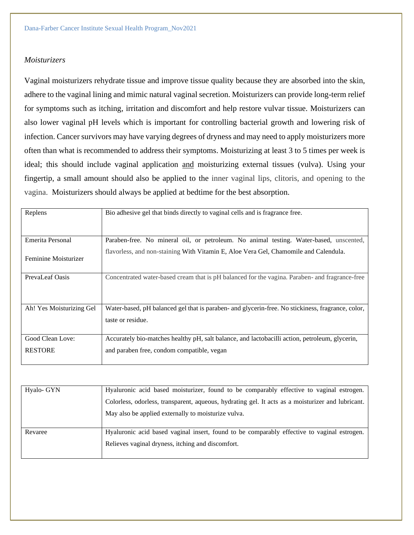## *Moisturizers*

Vaginal moisturizers rehydrate tissue and improve tissue quality because they are absorbed into the skin, adhere to the vaginal lining and mimic natural vaginal secretion. Moisturizers can provide long-term relief for symptoms such as itching, irritation and discomfort and help restore vulvar tissue. Moisturizers can also lower vaginal pH levels which is important for controlling bacterial growth and lowering risk of infection. Cancer survivors may have varying degrees of dryness and may need to apply moisturizers more often than what is recommended to address their symptoms. Moisturizing at least 3 to 5 times per week is ideal; this should include vaginal application and moisturizing external tissues (vulva). Using your fingertip, a small amount should also be applied to the inner vaginal lips, clitoris, and opening to the vagina. Moisturizers should always be applied at bedtime for the best absorption.

| Replens                  | Bio adhesive gel that binds directly to vaginal cells and is fragrance free.                      |
|--------------------------|---------------------------------------------------------------------------------------------------|
|                          |                                                                                                   |
|                          |                                                                                                   |
|                          |                                                                                                   |
| Emerita Personal         | Paraben-free. No mineral oil, or petroleum. No animal testing. Water-based, unscented,            |
|                          | flavorless, and non-staining With Vitamin E, Aloe Vera Gel, Chamomile and Calendula.              |
| Feminine Moisturizer     |                                                                                                   |
|                          |                                                                                                   |
| PrevaLeaf Oasis          | Concentrated water-based cream that is pH balanced for the vagina. Paraben- and fragrance-free    |
|                          |                                                                                                   |
|                          |                                                                                                   |
|                          |                                                                                                   |
|                          |                                                                                                   |
| Ah! Yes Moisturizing Gel | Water-based, pH balanced gel that is paraben- and glycerin-free. No stickiness, fragrance, color, |
|                          | taste or residue.                                                                                 |
|                          |                                                                                                   |
|                          |                                                                                                   |
| Good Clean Love:         | Accurately bio-matches healthy pH, salt balance, and lactobacilli action, petroleum, glycerin,    |
| <b>RESTORE</b>           | and paraben free, condom compatible, vegan                                                        |
|                          |                                                                                                   |
|                          |                                                                                                   |

| Hyalo- GYN | Hyaluronic acid based moisturizer, found to be comparably effective to vaginal estrogen.          |
|------------|---------------------------------------------------------------------------------------------------|
|            | Colorless, odorless, transparent, aqueous, hydrating gel. It acts as a moisturizer and lubricant. |
|            | May also be applied externally to moisturize vulva.                                               |
|            |                                                                                                   |
| Revaree    | Hyaluronic acid based vaginal insert, found to be comparably effective to vaginal estrogen.       |
|            | Relieves vaginal dryness, itching and discomfort.                                                 |
|            |                                                                                                   |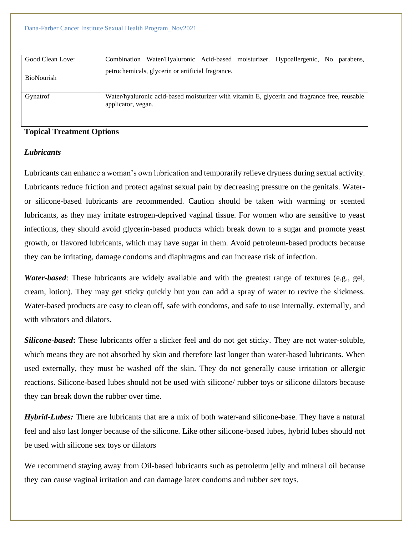Dana-Farber Cancer Institute Sexual Health Program\_Nov2021

| Good Clean Love: |                    | Combination Water/Hyaluronic Acid-based moisturizer. Hypoallergenic, No parabens,             |  |  |  |
|------------------|--------------------|-----------------------------------------------------------------------------------------------|--|--|--|
| BioNourish       |                    | petrochemicals, glycerin or artificial fragrance.                                             |  |  |  |
| Gynatrof         | applicator, vegan. | Water/hyaluronic acid-based moisturizer with vitamin E, glycerin and fragrance free, reusable |  |  |  |

## **Topical Treatment Options**

### *Lubricants*

Lubricants can enhance a woman's own lubrication and temporarily relieve dryness during sexual activity. Lubricants reduce friction and protect against sexual pain by decreasing pressure on the genitals. Wateror silicone-based lubricants are recommended. Caution should be taken with warming or scented lubricants, as they may irritate estrogen-deprived vaginal tissue. For women who are sensitive to yeast infections, they should avoid glycerin-based products which break down to a sugar and promote yeast growth, or flavored lubricants, which may have sugar in them. Avoid petroleum-based products because they can be irritating, damage condoms and diaphragms and can increase risk of infection.

*Water-based*: These lubricants are widely available and with the greatest range of textures (e.g., gel, cream, lotion). They may get sticky quickly but you can add a spray of water to revive the slickness. Water-based products are easy to clean off, safe with condoms, and safe to use internally, externally, and with vibrators and dilators.

*Silicone-based***:** These lubricants offer a slicker feel and do not get sticky. They are not water-soluble, which means they are not absorbed by skin and therefore last longer than water-based lubricants. When used externally, they must be washed off the skin. They do not generally cause irritation or allergic reactions. Silicone-based lubes should not be used with silicone/ rubber toys or silicone dilators because they can break down the rubber over time.

*Hybrid-Lubes:* There are lubricants that are a mix of both water-and silicone-base. They have a natural feel and also last longer because of the silicone. Like other silicone-based lubes, hybrid lubes should not be used with silicone sex toys or dilators

We recommend staying away from Oil-based lubricants such as petroleum jelly and mineral oil because they can cause vaginal irritation and can damage latex condoms and rubber sex toys.